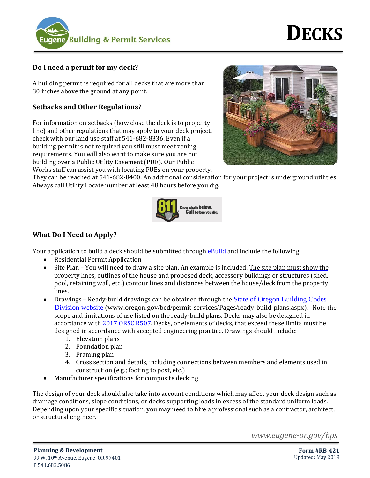

# **Do I need a permit for my deck?**

A building permit is required for all decks that are more than 30 inches above the ground at any point.

# **Setbacks and Other Regulations?**

For information on setbacks (how close the deck is to property line) and other regulations that may apply to your deck project, check with our land use staff at 541-682-8336. Even if a building permit is not required you still must meet zoning requirements. You will also want to make sure you are not building over a Public Utility Easement (PUE). Our Public Works staff can assist you with locating PUEs on your property.



They can be reached at 541-682-8400. An additional consideration for your project is underground utilities. Always call Utility Locate number at least 48 hours before you dig.



# **What Do I Need to Apply?**

Your application to build a deck should be submitted throug[h eBuild](https://pdd.eugene-or.gov/ebuild) and include the following:

- Residential Permit Application
- Site Plan You will need to draw a site plan. An example is included. The site plan must show the property lines, outlines of the house and proposed deck, accessory buildings or structures (shed, pool, retaining wall, etc.) contour lines and distances between the house/deck from the property lines.
- Drawings Ready-build drawings can be obtained through the [State of Oregon Building Codes](https://www.oregon.gov/bcd/permit-services/Pages/ready-build-plans.aspx) [Division website](https://www.oregon.gov/bcd/permit-services/Pages/ready-build-plans.aspx) (www.oregon.gov/bcd/permit-services/Pages/ready-build-plans.aspx). Note the scope and limitations of use listed on the ready-build plans. Decks may also be designed in accordance wit[h 2017 ORSC R507.](https://codes.iccsafe.org/content/document/1018?site_type=public) Decks, or elements of decks, that exceed these limits must be designed in accordance with accepted engineering practice. Drawings should include:
	- 1. Elevation plans
	- 2. Foundation plan
	- 3. Framing plan
	- 4. Cross section and details, including connections between members and elements used in construction (e.g.; footing to post, etc.)
- Manufacturer specifications for composite decking

The design of your deck should also take into account conditions which may affect your deck design such as drainage conditions, slope conditions, or decks supporting loads in excess of the standard uniform loads. Depending upon your specific situation, you may need to hire a professional such as a contractor, architect, or structural engineer.

*www.eugene-or.gov/bps*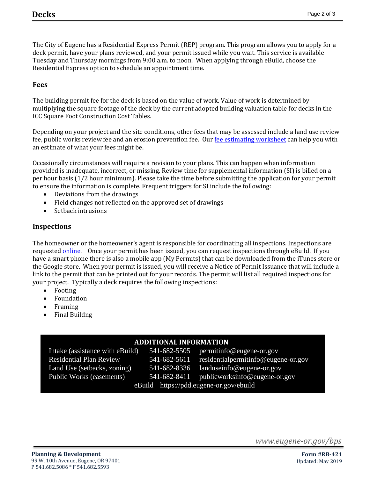٦

The City of Eugene has a Residential Express Permit (REP) program. This program allows you to apply for a deck permit, have your plans reviewed, and your permit issued while you wait. This service is available Tuesday and Thursday mornings from 9:00 a.m. to noon. When applying through eBuild, choose the Residential Express option to schedule an appointment time.

#### **Fees**

The building permit fee for the deck is based on the value of work. Value of work is determined by multiplying the square footage of the deck by the current adopted building valuation table for decks in the ICC Square Foot Construction Cost Tables.

Depending on your project and the site conditions, other fees that may be assessed include a land use review fee, public works review fee and an erosion prevention fee. Our [fee estimating worksheet](https://www.eugene-or.gov/DocumentCenter/View/13737/Fee-Estimating-Worksheet) can help you with an estimate of what your fees might be.

Occasionally circumstances will require a revision to your plans. This can happen when information provided is inadequate, incorrect, or missing. Review time for supplemental information (SI) is billed on a per hour basis (1/2 hour minimum). Please take the time before submitting the application for your permit to ensure the information is complete. Frequent triggers for SI include the following:

- Deviations from the drawings
- Field changes not reflected on the approved set of drawings
- Setback intrusions

#### **Inspections**

The homeowner or the homeowner's agent is responsible for coordinating all inspections. Inspections are requeste[d online.](https://pdd.eugene-or.gov/BuildingPermits/InspectionLogin) Once your permit has been issued, you can request inspections through eBuild. If you have a smart phone there is also a mobile app (My Permits) that can be downloaded from the iTunes store or the Google store. When your permit is issued, you will receive a Notice of Permit Issuance that will include a link to the permit that can be printed out for your records. The permit will list all required inspections for your project. Typically a deck requires the following inspections:

- Footing
- Foundation
- Framing
- Final Buildng

### **ADDITIONAL INFORMATION**

Intake (assistance with eBuild) 541-682-5505 permittinfo@eugene-or.gov Residential Plan Review 541-682-5611 residentialpermitinfo@eugene-or.gov Land Use (setbacks, zoning) 541-682-8336 landuseinfo@eugene-or.gov Public Works (easements) 541-682-8411 publicworksinfo@eugene-or.gov

eBuild https://pdd.eugene-or.gov/ebuild

*www.eugene-or.gov/bps*